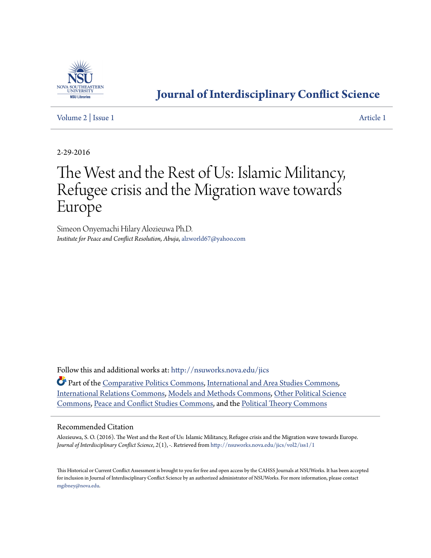

# **[Journal of Interdisciplinary Conflict Science](http://nsuworks.nova.edu/jics?utm_source=nsuworks.nova.edu%2Fjics%2Fvol2%2Fiss1%2F1&utm_medium=PDF&utm_campaign=PDFCoverPages)**

[Volume 2](http://nsuworks.nova.edu/jics/vol2?utm_source=nsuworks.nova.edu%2Fjics%2Fvol2%2Fiss1%2F1&utm_medium=PDF&utm_campaign=PDFCoverPages) | [Issue 1](http://nsuworks.nova.edu/jics/vol2/iss1?utm_source=nsuworks.nova.edu%2Fjics%2Fvol2%2Fiss1%2F1&utm_medium=PDF&utm_campaign=PDFCoverPages) [Article 1](http://nsuworks.nova.edu/jics/vol2/iss1/1?utm_source=nsuworks.nova.edu%2Fjics%2Fvol2%2Fiss1%2F1&utm_medium=PDF&utm_campaign=PDFCoverPages)

2-29-2016

# The West and the Rest of Us: Islamic Militancy, Refugee crisis and the Migration wave towards Europe

Simeon Onyemachi Hilary Alozieuwa Ph.D. *Institute for Peace and Conflict Resolution, Abuja*, alzworld67@yahoo.com

Follow this and additional works at: [http://nsuworks.nova.edu/jics](http://nsuworks.nova.edu/jics?utm_source=nsuworks.nova.edu%2Fjics%2Fvol2%2Fiss1%2F1&utm_medium=PDF&utm_campaign=PDFCoverPages)

Part of the [Comparative Politics Commons,](http://network.bepress.com/hgg/discipline/388?utm_source=nsuworks.nova.edu%2Fjics%2Fvol2%2Fiss1%2F1&utm_medium=PDF&utm_campaign=PDFCoverPages) [International and Area Studies Commons](http://network.bepress.com/hgg/discipline/360?utm_source=nsuworks.nova.edu%2Fjics%2Fvol2%2Fiss1%2F1&utm_medium=PDF&utm_campaign=PDFCoverPages), [International Relations Commons](http://network.bepress.com/hgg/discipline/389?utm_source=nsuworks.nova.edu%2Fjics%2Fvol2%2Fiss1%2F1&utm_medium=PDF&utm_campaign=PDFCoverPages), [Models and Methods Commons,](http://network.bepress.com/hgg/discipline/390?utm_source=nsuworks.nova.edu%2Fjics%2Fvol2%2Fiss1%2F1&utm_medium=PDF&utm_campaign=PDFCoverPages) [Other Political Science](http://network.bepress.com/hgg/discipline/392?utm_source=nsuworks.nova.edu%2Fjics%2Fvol2%2Fiss1%2F1&utm_medium=PDF&utm_campaign=PDFCoverPages) [Commons,](http://network.bepress.com/hgg/discipline/392?utm_source=nsuworks.nova.edu%2Fjics%2Fvol2%2Fiss1%2F1&utm_medium=PDF&utm_campaign=PDFCoverPages) [Peace and Conflict Studies Commons,](http://network.bepress.com/hgg/discipline/397?utm_source=nsuworks.nova.edu%2Fjics%2Fvol2%2Fiss1%2F1&utm_medium=PDF&utm_campaign=PDFCoverPages) and the [Political Theory Commons](http://network.bepress.com/hgg/discipline/391?utm_source=nsuworks.nova.edu%2Fjics%2Fvol2%2Fiss1%2F1&utm_medium=PDF&utm_campaign=PDFCoverPages)

## Recommended Citation

Alozieuwa, S. O. (2016). The West and the Rest of Us: Islamic Militancy, Refugee crisis and the Migration wave towards Europe. *Journal of Interdisciplinary Conflict Science*, *2*(1), -. Retrieved from [http://nsuworks.nova.edu/jics/vol2/iss1/1](http://nsuworks.nova.edu/jics/vol2/iss1/1?utm_source=nsuworks.nova.edu%2Fjics%2Fvol2%2Fiss1%2F1&utm_medium=PDF&utm_campaign=PDFCoverPages)

This Historical or Current Conflict Assessment is brought to you for free and open access by the CAHSS Journals at NSUWorks. It has been accepted for inclusion in Journal of Interdisciplinary Conflict Science by an authorized administrator of NSUWorks. For more information, please contact [mgibney@nova.edu](mailto:mgibney@nova.edu).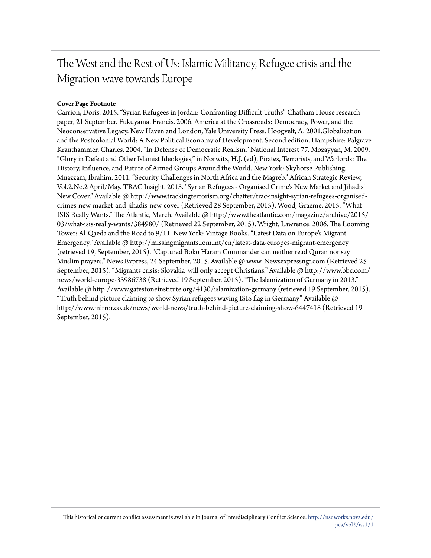# The West and the Rest of Us: Islamic Militancy, Refugee crisis and the Migration wave towards Europe

# **Cover Page Footnote**

Carrion, Doris. 2015. "Syrian Refugees in Jordan: Confronting Difficult Truths" Chatham House research paper, 21 September. Fukuyama, Francis. 2006. America at the Crossroads: Democracy, Power, and the Neoconservative Legacy. New Haven and London, Yale University Press. Hoogvelt, A. 2001.Globalization and the Postcolonial World: A New Political Economy of Development. Second edition. Hampshire: Palgrave Krauthammer, Charles. 2004. "In Defense of Democratic Realism." National Interest 77. Mozayyan, M. 2009. "Glory in Defeat and Other Islamist Ideologies," in Norwitz, H.J. (ed), Pirates, Terrorists, and Warlords: The History, Influence, and Future of Armed Groups Around the World. New York: Skyhorse Publishing. Muazzam, Ibrahim. 2011. "Security Challenges in North Africa and the Magreb." African Strategic Review, Vol.2.No.2 April/May. TRAC Insight. 2015. "Syrian Refugees - Organised Crime's New Market and Jihadis' New Cover." Available @ http://www.trackingterrorism.org/chatter/trac-insight-syrian-refugees-organisedcrimes-new-market-and-jihadis-new-cover (Retrieved 28 September, 2015). Wood, Graeme. 2015. "What ISIS Really Wants." The Atlantic, March. Available @ http://www.theatlantic.com/magazine/archive/2015/ 03/what-isis-really-wants/384980/ (Retrieved 22 September, 2015). Wright, Lawrence. 2006. The Looming Tower: Al-Qaeda and the Road to 9/11. New York: Vintage Books. "Latest Data on Europe's Migrant Emergency." Available  $\omega$  http://missingmigrants.iom.int/en/latest-data-europes-migrant-emergency (retrieved 19, September, 2015). "Captured Boko Haram Commander can neither read Quran nor say Muslim prayers." News Express, 24 September, 2015. Available @ www. Newsexpressngr.com (Retrieved 25 September, 2015). "Migrants crisis: Slovakia 'will only accept Christians." Available @ http://www.bbc.com/ news/world-europe-33986738 (Retrieved 19 September, 2015). "The Islamization of Germany in 2013." Available @ http://www.gatestoneinstitute.org/4130/islamization-germany (retrieved 19 September, 2015). "Truth behind picture claiming to show Syrian refugees waving ISIS flag in Germany" Available  $\varpi$ http://www.mirror.co.uk/news/world-news/truth-behind-picture-claiming-show-6447418 (Retrieved 19 September, 2015).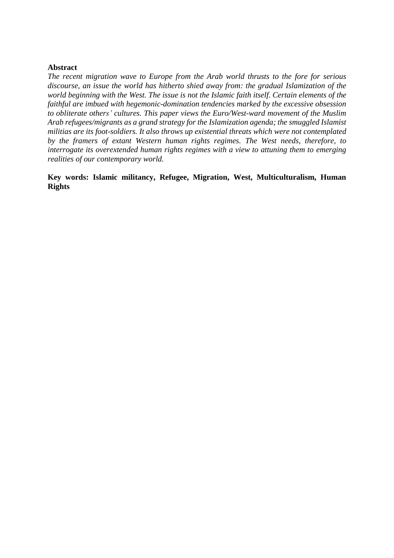# **Abstract**

*The recent migration wave to Europe from the Arab world thrusts to the fore for serious discourse, an issue the world has hitherto shied away from: the gradual Islamization of the world beginning with the West. The issue is not the Islamic faith itself. Certain elements of the faithful are imbued with hegemonic-domination tendencies marked by the excessive obsession to obliterate others' cultures. This paper views the Euro/West-ward movement of the Muslim Arab refugees/migrants as a grand strategy for the Islamization agenda; the smuggled Islamist militias are its foot-soldiers. It also throws up existential threats which were not contemplated by the framers of extant Western human rights regimes. The West needs, therefore, to interrogate its overextended human rights regimes with a view to attuning them to emerging realities of our contemporary world.*

**Key words: Islamic militancy, Refugee, Migration, West, Multiculturalism, Human Rights**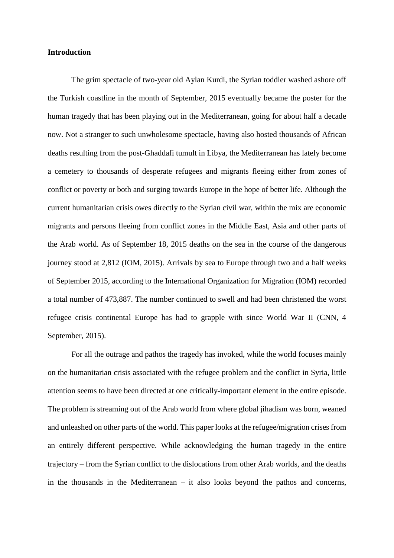# **Introduction**

The grim spectacle of two-year old Aylan Kurdi, the Syrian toddler washed ashore off the Turkish coastline in the month of September, 2015 eventually became the poster for the human tragedy that has been playing out in the Mediterranean, going for about half a decade now. Not a stranger to such unwholesome spectacle, having also hosted thousands of African deaths resulting from the post-Ghaddafi tumult in Libya, the Mediterranean has lately become a cemetery to thousands of desperate refugees and migrants fleeing either from zones of conflict or poverty or both and surging towards Europe in the hope of better life. Although the current humanitarian crisis owes directly to the Syrian civil war, within the mix are economic migrants and persons fleeing from conflict zones in the Middle East, Asia and other parts of the Arab world. As of September 18, 2015 deaths on the sea in the course of the dangerous journey stood at 2,812 (IOM, 2015). Arrivals by sea to Europe through two and a half weeks of September 2015, according to the International Organization for Migration (IOM) recorded a total number of 473,887. The number continued to swell and had been christened the worst refugee crisis continental Europe has had to grapple with since World War II (CNN, 4 September, 2015).

For all the outrage and pathos the tragedy has invoked, while the world focuses mainly on the humanitarian crisis associated with the refugee problem and the conflict in Syria, little attention seems to have been directed at one critically-important element in the entire episode. The problem is streaming out of the Arab world from where global jihadism was born, weaned and unleashed on other parts of the world. This paper looks at the refugee/migration crises from an entirely different perspective. While acknowledging the human tragedy in the entire trajectory – from the Syrian conflict to the dislocations from other Arab worlds, and the deaths in the thousands in the Mediterranean – it also looks beyond the pathos and concerns,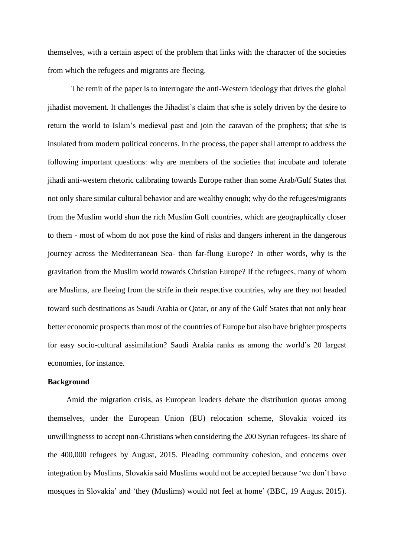themselves, with a certain aspect of the problem that links with the character of the societies from which the refugees and migrants are fleeing.

The remit of the paper is to interrogate the anti-Western ideology that drives the global jihadist movement. It challenges the Jihadist's claim that s/he is solely driven by the desire to return the world to Islam's medieval past and join the caravan of the prophets; that s/he is insulated from modern political concerns. In the process, the paper shall attempt to address the following important questions: why are members of the societies that incubate and tolerate jihadi anti-western rhetoric calibrating towards Europe rather than some Arab/Gulf States that not only share similar cultural behavior and are wealthy enough; why do the refugees/migrants from the Muslim world shun the rich Muslim Gulf countries, which are geographically closer to them - most of whom do not pose the kind of risks and dangers inherent in the dangerous journey across the Mediterranean Sea- than far-flung Europe? In other words, why is the gravitation from the Muslim world towards Christian Europe? If the refugees, many of whom are Muslims, are fleeing from the strife in their respective countries, why are they not headed toward such destinations as Saudi Arabia or Qatar, or any of the Gulf States that not only bear better economic prospects than most of the countries of Europe but also have brighter prospects for easy socio-cultural assimilation? Saudi Arabia ranks as among the world's 20 largest economies, for instance.

# **Background**

Amid the migration crisis, as European leaders debate the distribution quotas among themselves, under the European Union (EU) relocation scheme, Slovakia voiced its unwillingnesss to accept non-Christians when considering the 200 Syrian refugees- its share of the 400,000 refugees by August, 2015. Pleading community cohesion, and concerns over integration by Muslims, Slovakia said Muslims would not be accepted because 'we don't have mosques in Slovakia' and 'they (Muslims) would not feel at home' (BBC, 19 August 2015).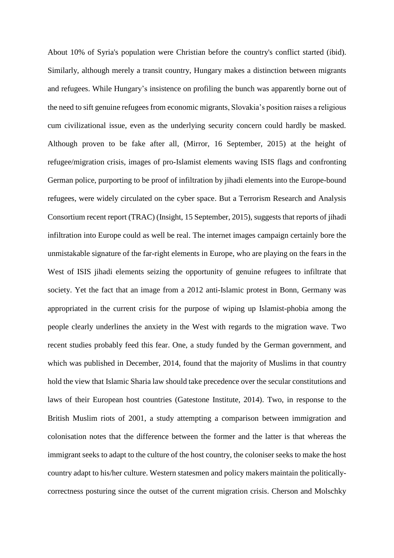About 10% of Syria's population were Christian before the country's conflict started (ibid). Similarly, although merely a transit country, Hungary makes a distinction between migrants and refugees. While Hungary's insistence on profiling the bunch was apparently borne out of the need to sift genuine refugees from economic migrants, Slovakia's position raises a religious cum civilizational issue, even as the underlying security concern could hardly be masked. Although proven to be fake after all, (Mirror, 16 September, 2015) at the height of refugee/migration crisis, images of pro-Islamist elements waving ISIS flags and confronting German police, purporting to be proof of infiltration by jihadi elements into the Europe-bound refugees, were widely circulated on the cyber space. But a Terrorism Research and Analysis Consortium recent report (TRAC) (Insight, 15 September, 2015), suggests that reports of jihadi infiltration into Europe could as well be real. The internet images campaign certainly bore the unmistakable signature of the far-right elements in Europe, who are playing on the fears in the West of ISIS jihadi elements seizing the opportunity of genuine refugees to infiltrate that society. Yet the fact that an image from a 2012 anti-Islamic protest in Bonn, Germany was appropriated in the current crisis for the purpose of wiping up Islamist-phobia among the people clearly underlines the anxiety in the West with regards to the migration wave. Two recent studies probably feed this fear. One, a study funded by the German government, and which was published in December, 2014, found that the majority of Muslims in that country hold the view that Islamic Sharia law should take precedence over the secular constitutions and laws of their European host countries (Gatestone Institute, 2014). Two, in response to the British Muslim riots of 2001, a study attempting a comparison between immigration and colonisation notes that the difference between the former and the latter is that whereas the immigrant seeks to adapt to the culture of the host country, the coloniser seeks to make the host country adapt to his/her culture. Western statesmen and policy makers maintain the politicallycorrectness posturing since the outset of the current migration crisis. Cherson and Molschky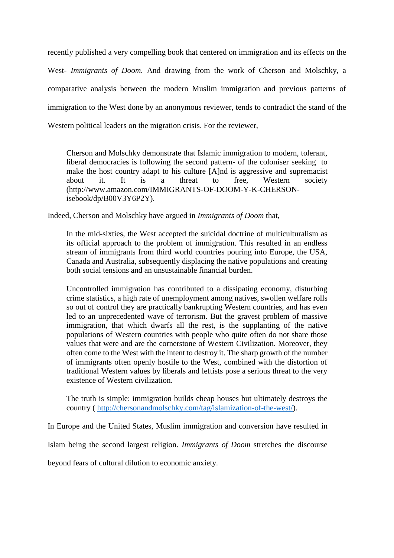recently published a very compelling book that centered on immigration and its effects on the West- *Immigrants of Doom.* And drawing from the work of Cherson and Molschky, a comparative analysis between the modern Muslim immigration and previous patterns of immigration to the West done by an anonymous reviewer, tends to contradict the stand of the Western political leaders on the migration crisis. For the reviewer,

Cherson and Molschky demonstrate that Islamic immigration to modern, tolerant, liberal democracies is following the second pattern- of the coloniser seeking to make the host country adapt to his culture [A]nd is aggressive and supremacist about it. It is a threat to free, Western society (http://www.amazon.com/IMMIGRANTS-OF-DOOM-Y-K-CHERSONisebook/dp/B00V3Y6P2Y).

Indeed, Cherson and Molschky have argued in *Immigrants of Doom* that,

In the mid-sixties, the West accepted the suicidal doctrine of multiculturalism as its official approach to the problem of immigration. This resulted in an endless stream of immigrants from third world countries pouring into Europe, the USA, Canada and Australia, subsequently displacing the native populations and creating both social tensions and an unsustainable financial burden.

Uncontrolled immigration has contributed to a dissipating economy, disturbing crime statistics, a high rate of unemployment among natives, swollen welfare rolls so out of control they are practically bankrupting Western countries, and has even led to an unprecedented wave of terrorism. But the gravest problem of massive immigration, that which dwarfs all the rest, is the supplanting of the native populations of Western countries with people who quite often do not share those values that were and are the cornerstone of Western Civilization. Moreover, they often come to the West with the intent to destroy it. The sharp growth of the number of immigrants often openly hostile to the West, combined with the distortion of traditional Western values by liberals and leftists pose a serious threat to the very existence of Western civilization.

The truth is simple: immigration builds cheap houses but ultimately destroys the country ( [http://chersonandmolschky.com/tag/islamization-of-the-west/\)](http://chersonandmolschky.com/tag/islamization-of-the-west/).

In Europe and the United States, Muslim immigration and conversion have resulted in

Islam being the second largest religion. *Immigrants of Doom* stretches the discourse

beyond fears of cultural dilution to economic anxiety.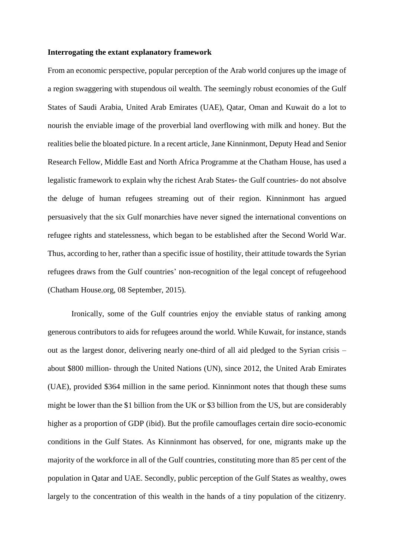### **Interrogating the extant explanatory framework**

From an economic perspective, popular perception of the Arab world conjures up the image of a region swaggering with stupendous oil wealth. The seemingly robust economies of the Gulf States of Saudi Arabia, United Arab Emirates (UAE), Qatar, Oman and Kuwait do a lot to nourish the enviable image of the proverbial land overflowing with milk and honey. But the realities belie the bloated picture. In a recent article, Jane Kinninmont, Deputy Head and Senior Research Fellow, Middle East and North Africa Programme at the Chatham House, has used a legalistic framework to explain why the richest Arab States- the Gulf countries- do not absolve the deluge of human refugees streaming out of their region. Kinninmont has argued persuasively that the six Gulf monarchies have never signed the international conventions on refugee rights and statelessness, which began to be established after the Second World War. Thus, according to her, rather than a specific issue of hostility, their attitude towards the Syrian refugees draws from the Gulf countries' non-recognition of the legal concept of refugeehood (Chatham House.org, 08 September, 2015).

Ironically, some of the Gulf countries enjoy the enviable status of ranking among generous contributors to aids for refugees around the world. While Kuwait, for instance, stands out as the largest donor, delivering nearly one-third of all aid pledged to the Syrian crisis – about \$800 million- through the United Nations (UN), since 2012, the United Arab Emirates (UAE), provided \$364 million in the same period. Kinninmont notes that though these sums might be lower than the \$1 billion from the UK or \$3 billion from the US, but are considerably higher as a proportion of GDP (ibid). But the profile camouflages certain dire socio-economic conditions in the Gulf States. As Kinninmont has observed, for one, migrants make up the majority of the workforce in all of the Gulf countries, constituting more than 85 per cent of the population in Qatar and UAE. Secondly, public perception of the Gulf States as wealthy, owes largely to the concentration of this wealth in the hands of a tiny population of the citizenry.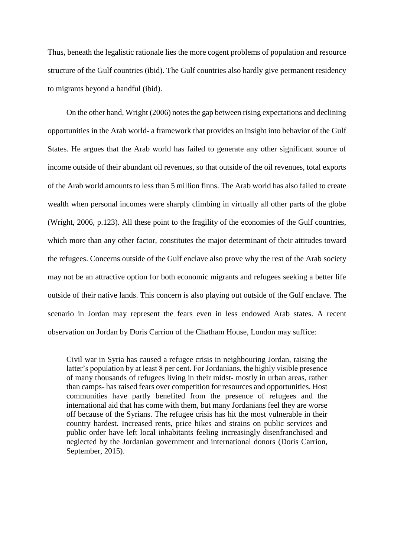Thus, beneath the legalistic rationale lies the more cogent problems of population and resource structure of the Gulf countries (ibid). The Gulf countries also hardly give permanent residency to migrants beyond a handful (ibid).

On the other hand, Wright (2006) notes the gap between rising expectations and declining opportunities in the Arab world- a framework that provides an insight into behavior of the Gulf States. He argues that the Arab world has failed to generate any other significant source of income outside of their abundant oil revenues, so that outside of the oil revenues, total exports of the Arab world amounts to less than 5 million finns. The Arab world has also failed to create wealth when personal incomes were sharply climbing in virtually all other parts of the globe (Wright, 2006, p.123). All these point to the fragility of the economies of the Gulf countries, which more than any other factor, constitutes the major determinant of their attitudes toward the refugees. Concerns outside of the Gulf enclave also prove why the rest of the Arab society may not be an attractive option for both economic migrants and refugees seeking a better life outside of their native lands. This concern is also playing out outside of the Gulf enclave. The scenario in Jordan may represent the fears even in less endowed Arab states. A recent observation on Jordan by Doris Carrion of the Chatham House, London may suffice:

Civil war in Syria has caused a refugee crisis in neighbouring Jordan, raising the latter's population by at least 8 per cent. For Jordanians, the highly visible presence of many thousands of refugees living in their midst- mostly in urban areas, rather than camps- has raised fears over competition for resources and opportunities. Host communities have partly benefited from the presence of refugees and the international aid that has come with them, but many Jordanians feel they are worse off because of the Syrians. The refugee crisis has hit the most vulnerable in their country hardest. Increased rents, price hikes and strains on public services and public order have left local inhabitants feeling increasingly disenfranchised and neglected by the Jordanian government and international donors (Doris Carrion, September, 2015).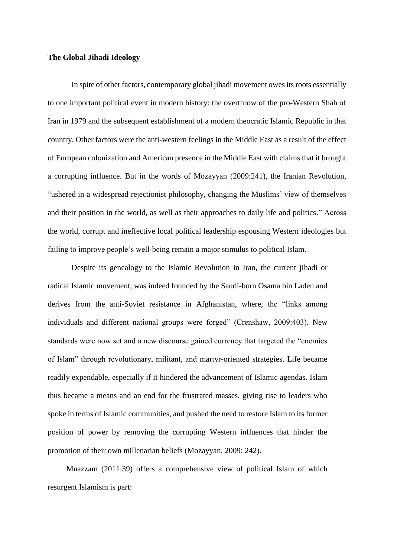## **The Global Jihadi Ideology**

In spite of other factors, contemporary global jihadi movement owes its roots essentially to one important political event in modern history: the overthrow of the pro-Western Shah of Iran in 1979 and the subsequent establishment of a modern theocratic Islamic Republic in that country. Other factors were the anti-western feelings in the Middle East as a result of the effect of European colonization and American presence in the Middle East with claims that it brought a corrupting influence. But in the words of Mozayyan (2009:241), the Iranian Revolution, "ushered in a widespread rejectionist philosophy, changing the Muslims' view of themselves and their position in the world, as well as their approaches to daily life and politics." Across the world, corrupt and ineffective local political leadership espousing Western ideologies but failing to improve people's well-being remain a major stimulus to political Islam.

Despite its genealogy to the Islamic Revolution in Iran, the current jihadi or radical Islamic movement, was indeed founded by the Saudi-born Osama bin Laden and derives from the anti-Soviet resistance in Afghanistan, where, the "links among individuals and different national groups were forged" (Crenshaw, 2009:403). New standards were now set and a new discourse gained currency that targeted the "enemies of Islam" through revolutionary, militant, and martyr-oriented strategies. Life became readily expendable, especially if it hindered the advancement of Islamic agendas. Islam thus became a means and an end for the frustrated masses, giving rise to leaders who spoke in terms of Islamic communities, and pushed the need to restore Islam to its former position of power by removing the corrupting Western influences that hinder the promotion of their own millenarian beliefs (Mozayyan, 2009: 242).

Muazzam (2011:39) offers a comprehensive view of political Islam of which resurgent Islamism is part: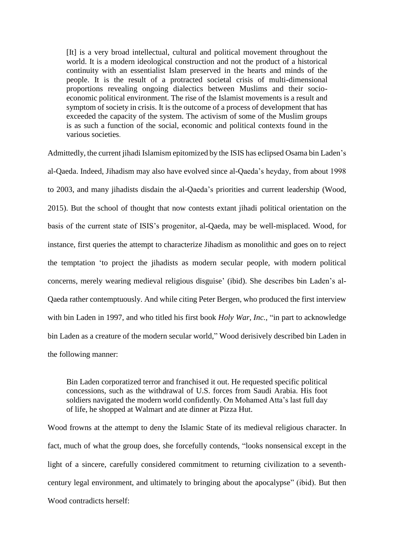[It] is a very broad intellectual, cultural and political movement throughout the world. It is a modern ideological construction and not the product of a historical continuity with an essentialist Islam preserved in the hearts and minds of the people. It is the result of a protracted societal crisis of multi-dimensional proportions revealing ongoing dialectics between Muslims and their socioeconomic political environment. The rise of the Islamist movements is a result and symptom of society in crisis. It is the outcome of a process of development that has exceeded the capacity of the system. The activism of some of the Muslim groups is as such a function of the social, economic and political contexts found in the various societies.

Admittedly, the current jihadi Islamism epitomized by the ISIS has eclipsed Osama bin Laden's al-Qaeda. Indeed, Jihadism may also have evolved since al-Qaeda's heyday, from about 1998 to 2003, and many jihadists disdain the al-Qaeda's priorities and current leadership (Wood, 2015). But the school of thought that now contests extant jihadi political orientation on the basis of the current state of ISIS's progenitor, al-Qaeda, may be well-misplaced. Wood, for instance, first queries the attempt to characterize Jihadism as monolithic and goes on to reject the temptation 'to project the jihadists as modern secular people, with modern political concerns, merely wearing medieval religious disguise' (ibid). She describes bin Laden's al-Qaeda rather contemptuously. And while citing Peter Bergen, who produced the first interview with bin Laden in 1997, and who titled his first book *Holy War, Inc.,* "in part to acknowledge bin Laden as a creature of the modern secular world," Wood derisively described bin Laden in the following manner:

Bin Laden corporatized terror and franchised it out. He requested specific political concessions, such as the withdrawal of U.S. forces from Saudi Arabia. His foot soldiers navigated the modern world confidently. On Mohamed Atta's last full day of life, he shopped at Walmart and ate dinner at Pizza Hut.

Wood frowns at the attempt to deny the Islamic State of its medieval religious character. In fact, much of what the group does, she forcefully contends, "looks nonsensical except in the light of a sincere, carefully considered commitment to returning civilization to a seventhcentury legal environment, and ultimately to bringing about the apocalypse" (ibid). But then Wood contradicts herself<sup>.</sup>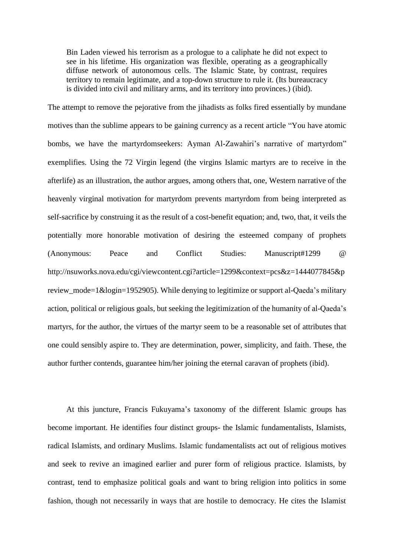Bin Laden viewed his terrorism as a prologue to a caliphate he did not expect to see in his lifetime. His organization was flexible, operating as a geographically diffuse network of autonomous cells. The Islamic State, by contrast, requires territory to remain legitimate, and a top-down structure to rule it. (Its bureaucracy is divided into civil and military arms, and its territory into provinces.) (ibid).

The attempt to remove the pejorative from the jihadists as folks fired essentially by mundane motives than the sublime appears to be gaining currency as a recent article "You have atomic bombs, we have the martyrdomseekers: Ayman Al-Zawahiri's narrative of martyrdom" exemplifies. Using the 72 Virgin legend (the virgins Islamic martyrs are to receive in the afterlife) as an illustration, the author argues, among others that, one, Western narrative of the heavenly virginal motivation for martyrdom prevents martyrdom from being interpreted as self-sacrifice by construing it as the result of a cost-benefit equation; and, two, that, it veils the potentially more honorable motivation of desiring the esteemed company of prophets (Anonymous: Peace and Conflict Studies: Manuscript#1299 @ http://nsuworks.nova.edu/cgi/viewcontent.cgi?article=1299&context=pcs&z=1444077845&p review mode=1&login=1952905). While denying to legitimize or support al-Qaeda's military action, political or religious goals, but seeking the legitimization of the humanity of al-Qaeda's martyrs, for the author, the virtues of the martyr seem to be a reasonable set of attributes that one could sensibly aspire to. They are determination, power, simplicity, and faith. These, the author further contends, guarantee him/her joining the eternal caravan of prophets (ibid).

At this juncture, Francis Fukuyama's taxonomy of the different Islamic groups has become important. He identifies four distinct groups- the Islamic fundamentalists, Islamists, radical Islamists, and ordinary Muslims. Islamic fundamentalists act out of religious motives and seek to revive an imagined earlier and purer form of religious practice. Islamists, by contrast, tend to emphasize political goals and want to bring religion into politics in some fashion, though not necessarily in ways that are hostile to democracy. He cites the Islamist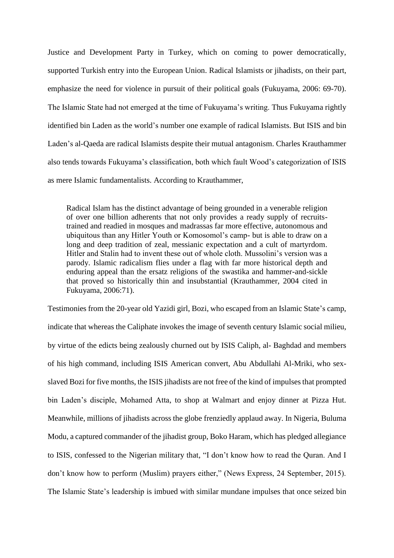Justice and Development Party in Turkey, which on coming to power democratically, supported Turkish entry into the European Union. Radical Islamists or jihadists, on their part, emphasize the need for violence in pursuit of their political goals (Fukuyama, 2006: 69-70). The Islamic State had not emerged at the time of Fukuyama's writing. Thus Fukuyama rightly identified bin Laden as the world's number one example of radical Islamists. But ISIS and bin Laden's al-Qaeda are radical Islamists despite their mutual antagonism. Charles Krauthammer also tends towards Fukuyama's classification, both which fault Wood's categorization of ISIS as mere Islamic fundamentalists. According to Krauthammer,

Radical Islam has the distinct advantage of being grounded in a venerable religion of over one billion adherents that not only provides a ready supply of recruitstrained and readied in mosques and madrassas far more effective, autonomous and ubiquitous than any Hitler Youth or Komosomol's camp- but is able to draw on a long and deep tradition of zeal, messianic expectation and a cult of martyrdom. Hitler and Stalin had to invent these out of whole cloth. Mussolini's version was a parody. Islamic radicalism flies under a flag with far more historical depth and enduring appeal than the ersatz religions of the swastika and hammer-and-sickle that proved so historically thin and insubstantial (Krauthammer, 2004 cited in Fukuyama, 2006:71).

Testimonies from the 20-year old Yazidi girl, Bozi, who escaped from an Islamic State's camp, indicate that whereas the Caliphate invokes the image of seventh century Islamic social milieu, by virtue of the edicts being zealously churned out by ISIS Caliph, al- Baghdad and members of his high command, including ISIS American convert, Abu Abdullahi Al-Mriki, who sexslaved Bozi for five months, the ISIS jihadists are not free of the kind of impulses that prompted bin Laden's disciple, Mohamed Atta, to shop at Walmart and enjoy dinner at Pizza Hut. Meanwhile, millions of jihadists across the globe frenziedly applaud away. In Nigeria, Buluma Modu, a captured commander of the jihadist group, Boko Haram, which has pledged allegiance to ISIS, confessed to the Nigerian military that, "I don't know how to read the Quran. And I don't know how to perform (Muslim) prayers either," (News Express, 24 September, 2015). The Islamic State's leadership is imbued with similar mundane impulses that once seized bin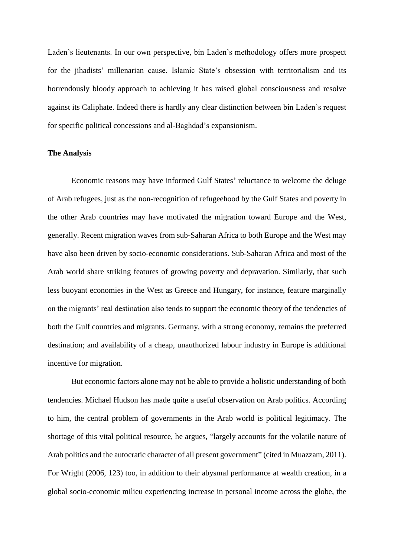Laden's lieutenants. In our own perspective, bin Laden's methodology offers more prospect for the jihadists' millenarian cause. Islamic State's obsession with territorialism and its horrendously bloody approach to achieving it has raised global consciousness and resolve against its Caliphate. Indeed there is hardly any clear distinction between bin Laden's request for specific political concessions and al-Baghdad's expansionism.

# **The Analysis**

Economic reasons may have informed Gulf States' reluctance to welcome the deluge of Arab refugees, just as the non-recognition of refugeehood by the Gulf States and poverty in the other Arab countries may have motivated the migration toward Europe and the West, generally. Recent migration waves from sub-Saharan Africa to both Europe and the West may have also been driven by socio-economic considerations. Sub-Saharan Africa and most of the Arab world share striking features of growing poverty and depravation. Similarly, that such less buoyant economies in the West as Greece and Hungary, for instance, feature marginally on the migrants' real destination also tends to support the economic theory of the tendencies of both the Gulf countries and migrants. Germany, with a strong economy, remains the preferred destination; and availability of a cheap, unauthorized labour industry in Europe is additional incentive for migration.

But economic factors alone may not be able to provide a holistic understanding of both tendencies. Michael Hudson has made quite a useful observation on Arab politics. According to him, the central problem of governments in the Arab world is political legitimacy. The shortage of this vital political resource, he argues, "largely accounts for the volatile nature of Arab politics and the autocratic character of all present government" (cited in Muazzam, 2011). For Wright (2006, 123) too, in addition to their abysmal performance at wealth creation, in a global socio-economic milieu experiencing increase in personal income across the globe, the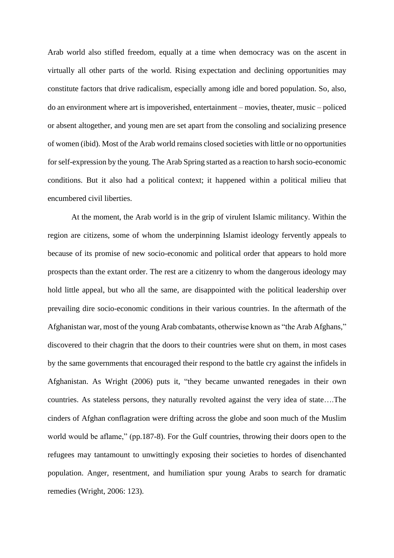Arab world also stifled freedom, equally at a time when democracy was on the ascent in virtually all other parts of the world. Rising expectation and declining opportunities may constitute factors that drive radicalism, especially among idle and bored population. So, also, do an environment where art is impoverished, entertainment – movies, theater, music – policed or absent altogether, and young men are set apart from the consoling and socializing presence of women (ibid). Most of the Arab world remains closed societies with little or no opportunities for self-expression by the young. The Arab Spring started as a reaction to harsh socio-economic conditions. But it also had a political context; it happened within a political milieu that encumbered civil liberties.

At the moment, the Arab world is in the grip of virulent Islamic militancy. Within the region are citizens, some of whom the underpinning Islamist ideology fervently appeals to because of its promise of new socio-economic and political order that appears to hold more prospects than the extant order. The rest are a citizenry to whom the dangerous ideology may hold little appeal, but who all the same, are disappointed with the political leadership over prevailing dire socio-economic conditions in their various countries. In the aftermath of the Afghanistan war, most of the young Arab combatants, otherwise known as "the Arab Afghans," discovered to their chagrin that the doors to their countries were shut on them, in most cases by the same governments that encouraged their respond to the battle cry against the infidels in Afghanistan. As Wright (2006) puts it, "they became unwanted renegades in their own countries. As stateless persons, they naturally revolted against the very idea of state….The cinders of Afghan conflagration were drifting across the globe and soon much of the Muslim world would be aflame," (pp.187-8). For the Gulf countries, throwing their doors open to the refugees may tantamount to unwittingly exposing their societies to hordes of disenchanted population. Anger, resentment, and humiliation spur young Arabs to search for dramatic remedies (Wright, 2006: 123).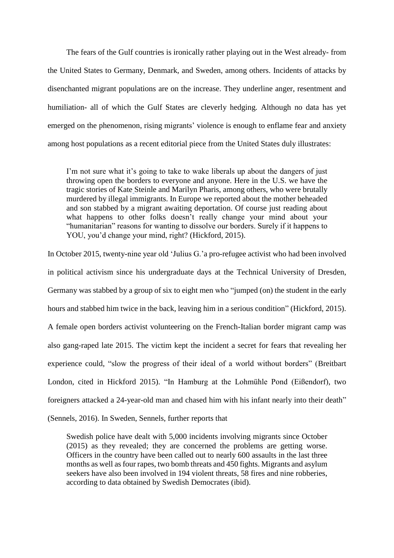The fears of the Gulf countries is ironically rather playing out in the West already- from the United States to Germany, Denmark, and Sweden, among others. Incidents of attacks by disenchanted migrant populations are on the increase. They underline anger, resentment and humiliation- all of which the Gulf States are cleverly hedging. Although no data has yet emerged on the phenomenon, rising migrants' violence is enough to enflame fear and anxiety among host populations as a recent editorial piece from the United States duly illustrates:

I'm not sure what it's going to take to wake liberals up about the dangers of just throwing open the borders to everyone and anyone. Here in the U.S. we have the tragic stories of Kate [Steinle](http://www.allenbwest.com/2015/07/horrific-this-is-exactly-what-donald-trump-is-talking-about/) and [Marilyn Pharis,](http://www.allenbwest.com/2015/08/illegal-alien-rapes-then-murders-this-woman-look-what-liberals-are-saying/) among others, who were brutally murdered by illegal immigrants. In Europe [we reported](http://www.allenbwest.com/2015/08/wow-muslim-beheads-shopper-in-ikea-store-look-what-ikea-is-doing-in-response/) about the mother beheaded and son stabbed by a migrant awaiting deportation. Of course just reading about what happens to other folks doesn't really change your mind about your "humanitarian" reasons for wanting to dissolve our borders. Surely if it happens to YOU, you'd change your mind, right? [\(Hickford,](http://www.allenbwest.com/author/michele/) 2015).

In October 2015, twenty-nine year old 'Julius G.'a pro-refugee activist who had been involved in political activism since his undergraduate days at the Technical University of Dresden, Germany was stabbed by a group of six to eight men who "jumped (on) the student in the early hours and stabbed him twice in the back, leaving him in a serious condition" [\(Hickford,](http://www.allenbwest.com/author/michele/) 2015). A female open borders activist volunteering on the French-Italian border migrant camp was also gang-raped late 2015. The victim kept the incident a secret for fears that revealing her experience could, "slow the progress of their ideal of a world without borders" (Breitbart London, cited in Hickford 2015). "In Hamburg at the Lohmühle Pond (Eißendorf), two foreigners attacked a 24-year-old man and chased him with his infant nearly into their death" [\(Sennels,](http://10news.dk/?author=1) 2016). In Sweden, [Sennels,](http://10news.dk/?author=1) further reports that

Swedish police have dealt with 5,000 incidents involving migrants since October (2015) as they revealed; they are concerned the problems are getting worse. Officers in the country have been called out to nearly 600 assaults in the last three months as well as four rapes, two bomb threats and 450 fights. Migrants and asylum seekers have also been involved in 194 violent threats, 58 fires and nine robberies, according to data obtained by Swedish Democrates (ibid).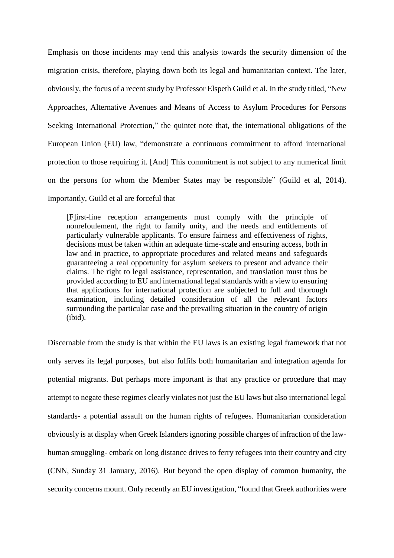Emphasis on those incidents may tend this analysis towards the security dimension of the migration crisis, therefore, playing down both its legal and humanitarian context. The later, obviously, the focus of a recent study by Professor Elspeth Guild et al. In the study titled, "New Approaches, Alternative Avenues and Means of Access to Asylum Procedures for Persons Seeking International Protection," the quintet note that, the international obligations of the European Union (EU) law, "demonstrate a continuous commitment to afford international protection to those requiring it. [And] This commitment is not subject to any numerical limit on the persons for whom the Member States may be responsible" (Guild et al, 2014). Importantly, Guild et al are forceful that

[F]irst-line reception arrangements must comply with the principle of nonrefoulement, the right to family unity, and the needs and entitlements of particularly vulnerable applicants. To ensure fairness and effectiveness of rights, decisions must be taken within an adequate time-scale and ensuring access, both in law and in practice, to appropriate procedures and related means and safeguards guaranteeing a real opportunity for asylum seekers to present and advance their claims. The right to legal assistance, representation, and translation must thus be provided according to EU and international legal standards with a view to ensuring that applications for international protection are subjected to full and thorough examination, including detailed consideration of all the relevant factors surrounding the particular case and the prevailing situation in the country of origin (ibid).

Discernable from the study is that within the EU laws is an existing legal framework that not only serves its legal purposes, but also fulfils both humanitarian and integration agenda for potential migrants. But perhaps more important is that any practice or procedure that may attempt to negate these regimes clearly violates not just the EU laws but also international legal standards- a potential assault on the human rights of refugees. Humanitarian consideration obviously is at display when Greek Islanders ignoring possible charges of infraction of the lawhuman smuggling- embark on long distance drives to ferry refugees into their country and city (CNN, Sunday 31 January, 2016). But beyond the open display of common humanity, the security concerns mount. Only recently an EU investigation, "found that Greek authorities were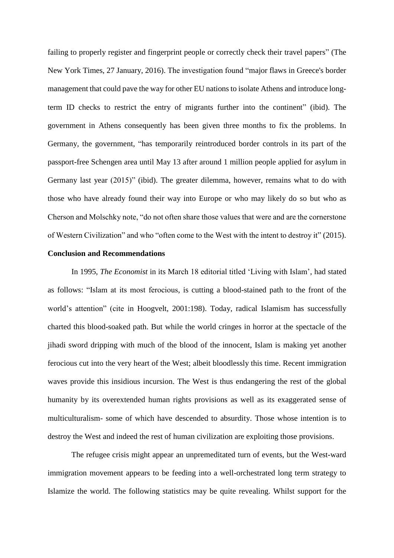failing to properly register and fingerprint people or correctly check their travel papers" (The New York Times, 27 January, 2016). The investigation found "major flaws in Greece's border management that could pave the way for other EU nations to isolate Athens and introduce longterm ID checks to restrict the entry of migrants further into the continent" (ibid). The government in Athens consequently has been given three months to fix the problems. In Germany, the government, "has temporarily reintroduced border controls in its part of the passport-free Schengen area until May 13 after around 1 million people applied for asylum in Germany last year (2015)" (ibid). The greater dilemma, however, remains what to do with those who have already found their way into Europe or who may likely do so but who as Cherson and Molschky note, "do not often share those values that were and are the cornerstone of Western Civilization" and who "often come to the West with the intent to destroy it" (2015).

# **Conclusion and Recommendations**

In 1995, *The Economist* in its March 18 editorial titled 'Living with Islam', had stated as follows: "Islam at its most ferocious, is cutting a blood-stained path to the front of the world's attention" (cite in Hoogvelt, 2001:198). Today, radical Islamism has successfully charted this blood-soaked path. But while the world cringes in horror at the spectacle of the jihadi sword dripping with much of the blood of the innocent, Islam is making yet another ferocious cut into the very heart of the West; albeit bloodlessly this time. Recent immigration waves provide this insidious incursion. The West is thus endangering the rest of the global humanity by its overextended human rights provisions as well as its exaggerated sense of multiculturalism- some of which have descended to absurdity. Those whose intention is to destroy the West and indeed the rest of human civilization are exploiting those provisions.

The refugee crisis might appear an unpremeditated turn of events, but the West-ward immigration movement appears to be feeding into a well-orchestrated long term strategy to Islamize the world. The following statistics may be quite revealing. Whilst support for the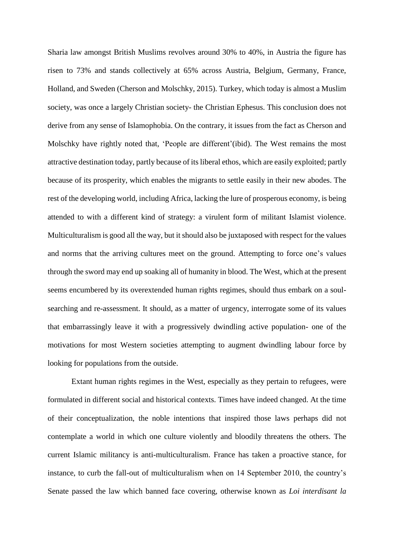Sharia law amongst British Muslims revolves around 30% to 40%, in Austria the figure has risen to 73% and stands collectively at 65% across Austria, Belgium, Germany, France, Holland, and Sweden (Cherson and Molschky, 2015). Turkey, which today is almost a Muslim society, was once a largely Christian society- the Christian Ephesus. This conclusion does not derive from any sense of Islamophobia. On the contrary, it issues from the fact as Cherson and Molschky have rightly noted that, 'People are different'(ibid). The West remains the most attractive destination today, partly because of its liberal ethos, which are easily exploited; partly because of its prosperity, which enables the migrants to settle easily in their new abodes. The rest of the developing world, including Africa, lacking the lure of prosperous economy, is being attended to with a different kind of strategy: a virulent form of militant Islamist violence. Multiculturalism is good all the way, but it should also be juxtaposed with respect for the values and norms that the arriving cultures meet on the ground. Attempting to force one's values through the sword may end up soaking all of humanity in blood. The West, which at the present seems encumbered by its overextended human rights regimes, should thus embark on a soulsearching and re-assessment. It should, as a matter of urgency, interrogate some of its values that embarrassingly leave it with a progressively dwindling active population- one of the motivations for most Western societies attempting to augment dwindling labour force by looking for populations from the outside.

Extant human rights regimes in the West, especially as they pertain to refugees, were formulated in different social and historical contexts. Times have indeed changed. At the time of their conceptualization, the noble intentions that inspired those laws perhaps did not contemplate a world in which one culture violently and bloodily threatens the others. The current Islamic militancy is anti-multiculturalism. France has taken a proactive stance, for instance, to curb the fall-out of multiculturalism when on 14 September 2010, the country's Senate passed the law which banned face covering, otherwise known as *Loi interdisant la*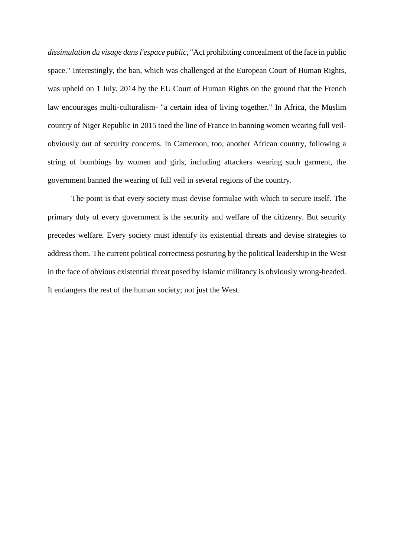*dissimulation du visage dans l'espace public*, "Act prohibiting concealment of the face in public space." Interestingly, the ban, which was challenged at the [European Court of Human Rights,](https://en.wikipedia.org/wiki/European_Court_of_Human_Rights) was upheld on 1 July, 2014 by the EU Court of Human Rights on the ground that the French law encourages multi-culturalism- "a certain idea of living together." In Africa, the Muslim country of Niger Republic in 2015 toed the line of France in banning women wearing full veilobviously out of security concerns. In Cameroon, too, another African country, following a string of bombings by women and girls, including attackers wearing such garment, the government banned the wearing of full veil in several regions of the country.

The point is that every society must devise formulae with which to secure itself. The primary duty of every government is the security and welfare of the citizenry. But security precedes welfare. Every society must identify its existential threats and devise strategies to address them. The current political correctness posturing by the political leadership in the West in the face of obvious existential threat posed by Islamic militancy is obviously wrong-headed. It endangers the rest of the human society; not just the West.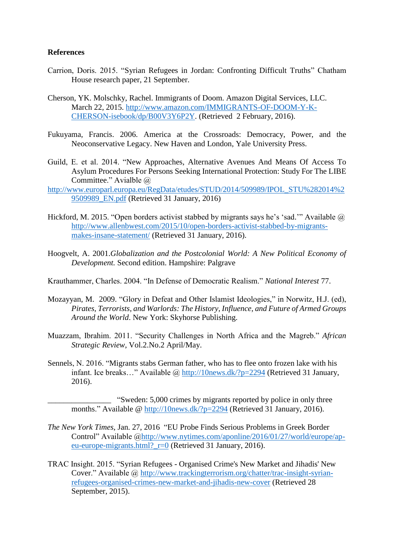# **References**

- Carrion, Doris. 2015. ["Syrian Refugees in Jordan: Confronting Difficult Truths"](http://email-chathamhouse.org/1TY8-3OCHV-HLQTGJ-1RX2O2-1/c.aspx) Chatham House research paper, 21 September.
- Cherson, YK. Molschky, Rachel. Immigrants of Doom. Amazon Digital Services, LLC. March 22, 2015. [http://www.amazon.com/IMMIGRANTS-OF-DOOM-Y-K-](http://www.amazon.com/IMMIGRANTS-OF-DOOM-Y-K-CHERSON-isebook/dp/B00V3Y6P2Y)[CHERSON-isebook/dp/B00V3Y6P2Y.](http://www.amazon.com/IMMIGRANTS-OF-DOOM-Y-K-CHERSON-isebook/dp/B00V3Y6P2Y) (Retrieved 2 February, 2016).
- Fukuyama, Francis. 2006. America at the Crossroads: Democracy, Power, and the Neoconservative Legacy. New Haven and London, Yale University Press.
- Guild, E. et al. 2014. "New Approaches, Alternative Avenues And Means Of Access To Asylum Procedures For Persons Seeking International Protection: Study For The LIBE Committee." Avialble @
- [http://www.europarl.europa.eu/RegData/etudes/STUD/2014/509989/IPOL\\_STU%282014%2](http://www.europarl.europa.eu/RegData/etudes/STUD/2014/509989/IPOL_STU%282014%29509989_EN.pdf) [9509989\\_EN.pdf](http://www.europarl.europa.eu/RegData/etudes/STUD/2014/509989/IPOL_STU%282014%29509989_EN.pdf) (Retrieved 31 January, 2016)
- Hickford, M. 2015. "Open borders activist stabbed by migrants says he's 'sad." Available  $\omega$ [http://www.allenbwest.com/2015/10/open-borders-activist-stabbed-by-migrants](http://www.allenbwest.com/2015/10/open-borders-activist-stabbed-by-migrants-makes-insane-statement/)[makes-insane-statement/](http://www.allenbwest.com/2015/10/open-borders-activist-stabbed-by-migrants-makes-insane-statement/) (Retrieved 31 January, 2016).
- Hoogvelt, A. 2001.*Globalization and the Postcolonial World: A New Political Economy of Development.* Second edition. Hampshire: Palgrave
- Krauthammer, Charles. 2004. "In Defense of Democratic Realism." *National Interest* 77.
- Mozayyan, M. 2009. "Glory in Defeat and Other Islamist Ideologies," in Norwitz, H.J. (ed), *Pirates, Terrorists, and Warlords: The History, Influence, and Future of Armed Groups Around the World*. New York: Skyhorse Publishing.
- Muazzam, Ibrahim. 2011. "Security Challenges in North Africa and the Magreb." *African Strategic Review*, Vol.2.No.2 April/May.
- [Sennels,](http://10news.dk/?author=1) N. 2016. "Migrants stabs German father, who has to flee onto frozen lake with his infant. Ice breaks..." Available @<http://10news.dk/?p=2294> (Retrieved 31 January, 2016).
	- "Sweden: 5,000 crimes by migrants reported by police in only three months." Available @<http://10news.dk/?p=2294> (Retrieved 31 January, 2016).
- *The New York Times*, Jan. 27, 2016 "EU Probe Finds Serious Problems in Greek Border Control" Available [@http://www.nytimes.com/aponline/2016/01/27/world/europe/ap](http://www.nytimes.com/aponline/2016/01/27/world/europe/ap-eu-europe-migrants.html?_r=0)[eu-europe-migrants.html?\\_r=0](http://www.nytimes.com/aponline/2016/01/27/world/europe/ap-eu-europe-migrants.html?_r=0) (Retrieved 31 January, 2016).
- TRAC Insight. 2015. "Syrian Refugees Organised Crime's New Market and Jihadis' New Cover." Available @ [http://www.trackingterrorism.org/chatter/trac-insight-syrian](http://www.trackingterrorism.org/chatter/trac-insight-syrian-refugees-organised-crimes-new-market-and-jihadis-new-cover)[refugees-organised-crimes-new-market-and-jihadis-new-cover](http://www.trackingterrorism.org/chatter/trac-insight-syrian-refugees-organised-crimes-new-market-and-jihadis-new-cover) (Retrieved 28 September, 2015).